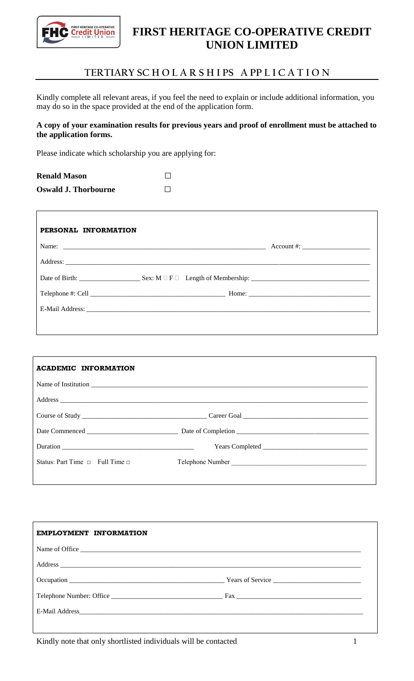

## **FIRST HERITAGE CO-OPERATIVE CREDIT UNION LIMITED**

## **TERTIARY SC H O L A R S H I PS A PP L I C A T I O N**

Kindly complete all relevant areas, if you feel the need to explain or include additional information, you may do so in the space provided at the end of the application form.

## **A copy of your examination results for previous years and proof of enrollment must be attached to the application forms.**

Please indicate which scholarship you are applying for:

| <b>Renald Mason</b>         |  |
|-----------------------------|--|
| <b>Oswald J. Thorbourne</b> |  |

|  | $Account #: ____________$ |  |
|--|---------------------------|--|
|  |                           |  |
|  |                           |  |
|  |                           |  |
|  |                           |  |

| <b>ACADEMIC INFORMATION</b>                                                                                                                                                                                                          |                  |
|--------------------------------------------------------------------------------------------------------------------------------------------------------------------------------------------------------------------------------------|------------------|
| Name of Institution <u>example and the set of the set of the set of the set of the set of the set of the set of the set of the set of the set of the set of the set of the set of the set of the set of the set of the set of th</u> |                  |
|                                                                                                                                                                                                                                      |                  |
|                                                                                                                                                                                                                                      |                  |
|                                                                                                                                                                                                                                      |                  |
|                                                                                                                                                                                                                                      |                  |
| Status: Part Time $\Box$ Full Time $\Box$                                                                                                                                                                                            | Telephone Number |
|                                                                                                                                                                                                                                      |                  |

| EMPLOYMENT INFORMATION |  |
|------------------------|--|
|                        |  |
|                        |  |
|                        |  |
|                        |  |
|                        |  |
|                        |  |